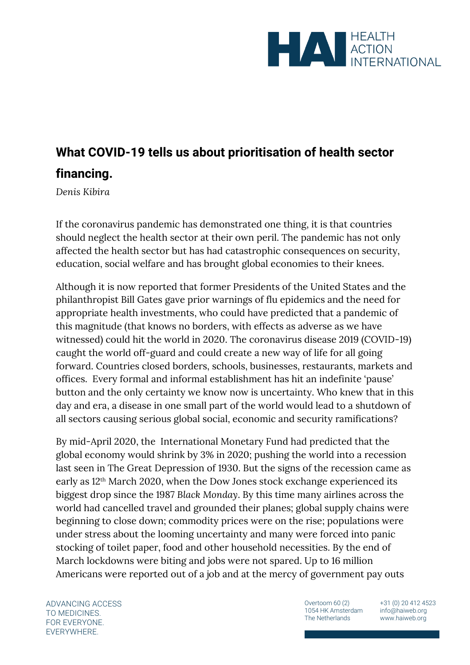

## **What COVID-19 tells us about prioritisation of health sector financing.**

*Denis Kibira*

If the coronavirus pandemic has demonstrated one thing, it is that countries should neglect the health sector at their own peril. The pandemic has not only affected the health sector but has had catastrophic consequences on security, education, social welfare and has brought global economies to their knees.

Although it is now reported that former Presidents of the United States and the philanthropist Bill Gates gave prior warnings of flu epidemics and the need for appropriate health investments, who could have predicted that a pandemic of this magnitude (that knows no borders, with effects as adverse as we have witnessed) could hit the world in 2020. The coronavirus disease 2019 (COVID-19) caught the world off-guard and could create a new way of life for all going forward. Countries closed borders, schools, businesses, restaurants, markets and offices. Every formal and informal establishment has hit an indefinite 'pause' button and the only certainty we know now is uncertainty. Who knew that in this day and era, a disease in one small part of the world would lead to a shutdown of all sectors causing serious global social, economic and security ramifications?

By mid-April 2020, the International Monetary Fund had predicted that the global economy would shrink by 3% in 2020; pushing the world into a recession last seen in The Great Depression of 1930. But the signs of the recession came as early as 12th March 2020, when the Dow Jones stock exchange experienced its biggest drop since the 1987 *Black Monday*. By this time many airlines across the world had cancelled travel and grounded their planes; global supply chains were beginning to close down; commodity prices were on the rise; populations were under stress about the looming uncertainty and many were forced into panic stocking of toilet paper, food and other household necessities. By the end of March lockdowns were biting and jobs were not spared. Up to 16 million Americans were reported out of a job and at the mercy of government pay outs

ADVANCING ACCESS TO MEDICINES. FOR EVERYONE. EVERYWHERE.

Overtoom 60 (2) 1054 HK Amsterdam The Netherlands

+31 (0) 20 412 4523 info@haiweb.org www.haiweb.org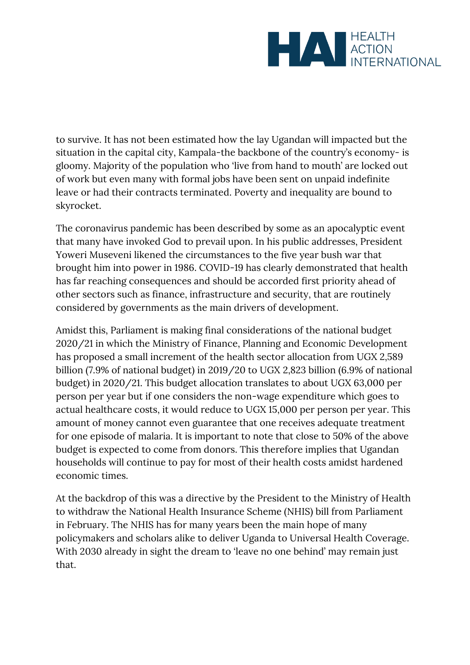

to survive. It has not been estimated how the lay Ugandan will impacted but the situation in the capital city, Kampala-the backbone of the country's economy- is gloomy. Majority of the population who 'live from hand to mouth' are locked out of work but even many with formal jobs have been sent on unpaid indefinite leave or had their contracts terminated. Poverty and inequality are bound to skyrocket.

The coronavirus pandemic has been described by some as an apocalyptic event that many have invoked God to prevail upon. In his public addresses, President Yoweri Museveni likened the circumstances to the five year bush war that brought him into power in 1986. COVID-19 has clearly demonstrated that health has far reaching consequences and should be accorded first priority ahead of other sectors such as finance, infrastructure and security, that are routinely considered by governments as the main drivers of development.

Amidst this, Parliament is making final considerations of the national budget 2020/21 in which the Ministry of Finance, Planning and Economic Development has proposed a small increment of the health sector allocation from UGX 2,589 billion (7.9% of national budget) in 2019/20 to UGX 2,823 billion (6.9% of national budget) in 2020/21. This budget allocation translates to about UGX 63,000 per person per year but if one considers the non-wage expenditure which goes to actual healthcare costs, it would reduce to UGX 15,000 per person per year. This amount of money cannot even guarantee that one receives adequate treatment for one episode of malaria. It is important to note that close to 50% of the above budget is expected to come from donors. This therefore implies that Ugandan households will continue to pay for most of their health costs amidst hardened economic times.

At the backdrop of this was a directive by the President to the Ministry of Health to withdraw the National Health Insurance Scheme (NHIS) bill from Parliament in February. The NHIS has for many years been the main hope of many policymakers and scholars alike to deliver Uganda to Universal Health Coverage. With 2030 already in sight the dream to 'leave no one behind' may remain just that.